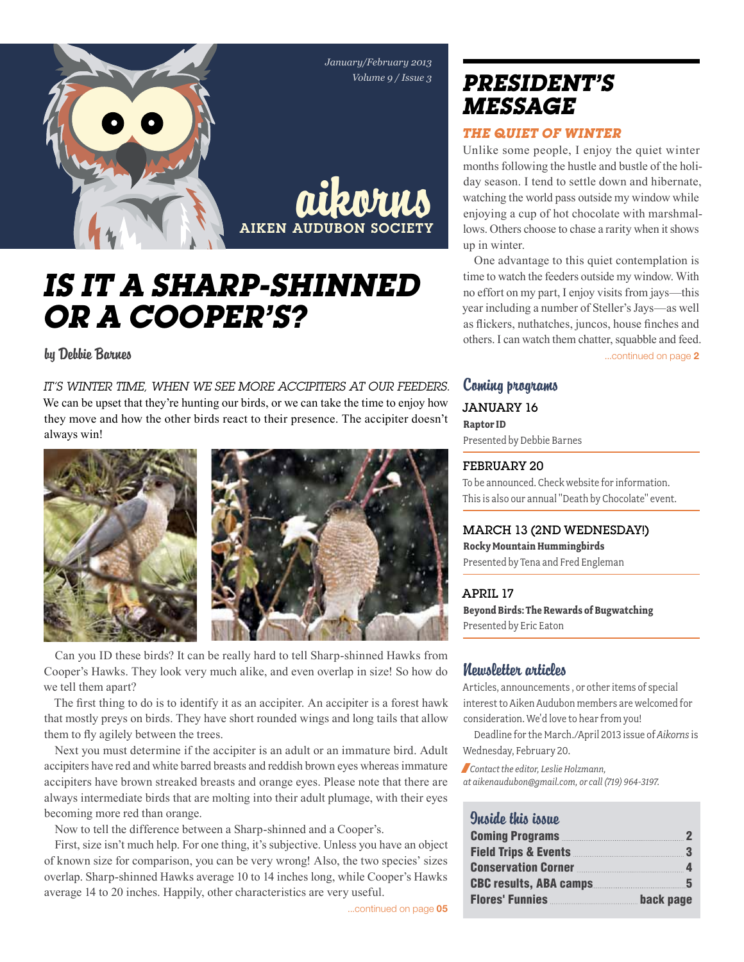

# *Is it a Sharp-shinned or a Cooper's?*

by Debbie Barnes

*It's winter time, when we see more Accipiters at our feeders.*  We can be upset that they're hunting our birds, or we can take the time to enjoy how they move and how the other birds react to their presence. The accipiter doesn't always win!



Can you ID these birds? It can be really hard to tell Sharp-shinned Hawks from Cooper's Hawks. They look very much alike, and even overlap in size! So how do we tell them apart?

The first thing to do is to identify it as an accipiter. An accipiter is a forest hawk that mostly preys on birds. They have short rounded wings and long tails that allow them to fly agilely between the trees.

Next you must determine if the accipiter is an adult or an immature bird. Adult accipiters have red and white barred breasts and reddish brown eyes whereas immature accipiters have brown streaked breasts and orange eyes. Please note that there are always intermediate birds that are molting into their adult plumage, with their eyes becoming more red than orange.

Now to tell the difference between a Sharp-shinned and a Cooper's.

First, size isn't much help. For one thing, it's subjective. Unless you have an object of known size for comparison, you can be very wrong! Also, the two species' sizes overlap. Sharp-shinned Hawks average 10 to 14 inches long, while Cooper's Hawks average 14 to 20 inches. Happily, other characteristics are very useful.

# *president's message*

#### *The Quiet of Winter*

Unlike some people, I enjoy the quiet winter months following the hustle and bustle of the holiday season. I tend to settle down and hibernate, watching the world pass outside my window while enjoying a cup of hot chocolate with marshmallows. Others choose to chase a rarity when it shows up in winter.

One advantage to this quiet contemplation is time to watch the feeders outside my window. With no effort on my part, I enjoy visits from jays—this year including a number of Steller's Jays—as well as flickers, nuthatches, juncos, house finches and others. I can watch them chatter, squabble and feed.

...continued on page 2

## Coming programs JANUARY 16 **Raptor ID**

Presented by Debbie Barnes

#### February 20

To be announced. Check website for information. This is also our annual "Death by Chocolate" event.

## March 13 (2ND WEDNESDAY!)

**Rocky Mountain Hummingbirds** Presented by Tena and Fred Engleman

April 17 **Beyond Birds: The Rewards of Bugwatching**  Presented by Eric Eaton

### Newsletter articles

Articles, announcements , or other items of special interest to Aiken Audubon members are welcomed for consideration. We'd love to hear from you!

Deadline for the March./April 2013 issue of *Aikorns* is Wednesday, February 20.

/*Contact the editor, Leslie Holzmann, at aikenaudubon@gmail.com, or call (719) 964-3197.*

#### Quaido this issuo

| Coming Programs 22                           |           |
|----------------------------------------------|-----------|
| Field Trips & Events 2000 3                  |           |
| <b>Conservation Corner</b> 4                 |           |
| <b>CBC results, ABA camps</b> 6              |           |
| Flores' Funnies <b>Eller</b> Flores' Funnies | back page |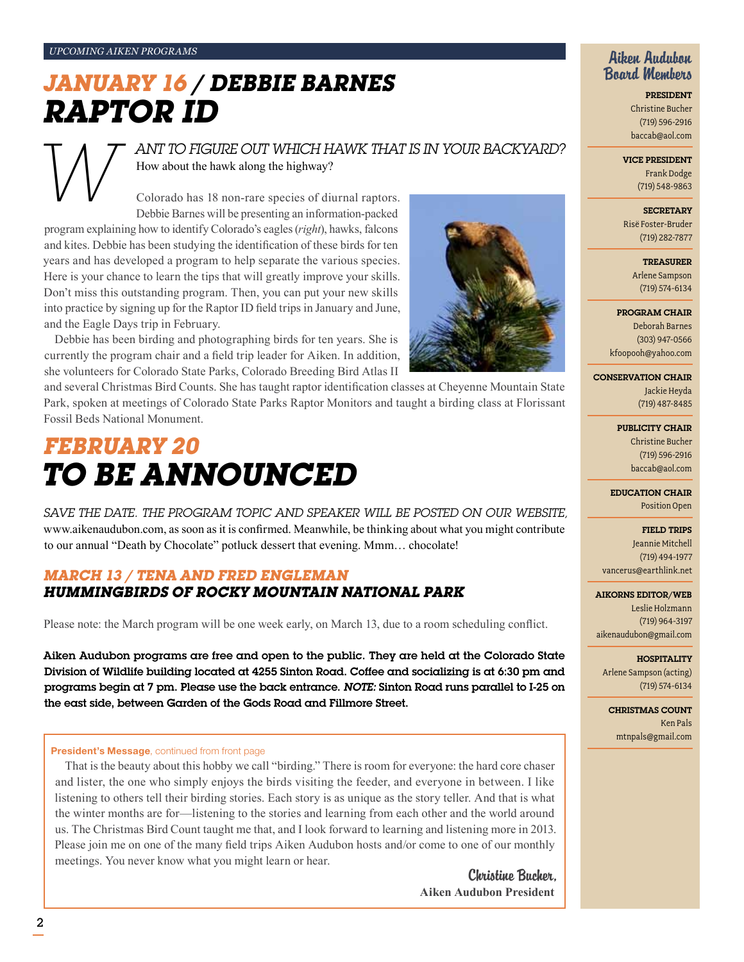*Upcoming Aiken Programs*

# *January 16 / Debbie Barnes RaPTor ID*

## ANT TO FIGURE OUT WHICH HAWK THAT IS IN YOUR BACKYARD? How about the hawk along the highway?

Colorado has 18 non-rare species of diurnal raptors. Debbie Barnes will be presenting an information-packed

program explaining how to identify Colorado's eagles (*right*), hawks, falcons and kites. Debbie has been studying the identification of these birds for ten years and has developed a program to help separate the various species. Here is your chance to learn the tips that will greatly improve your skills. Don't miss this outstanding program. Then, you can put your new skills into practice by signing up for the Raptor ID field trips in January and June, and the Eagle Days trip in February.

Debbie has been birding and photographing birds for ten years. She is currently the program chair and a field trip leader for Aiken. In addition, she volunteers for Colorado State Parks, Colorado Breeding Bird Atlas II

and several Christmas Bird Counts. She has taught raptor identification classes at Cheyenne Mountain State Park, spoken at meetings of Colorado State Parks Raptor Monitors and taught a birding class at Florissant Fossil Beds National Monument.

# *FeBruary 20 to be announced*

*Save the date. The program topic and speaker will be posted on our website,*  www.aikenaudubon.com, as soon as it is confirmed. Meanwhile, be thinking about what you might contribute to our annual "Death by Chocolate" potluck dessert that evening. Mmm… chocolate!

### *March 13 / Tena and Fred Engleman Hummingbirds of Rocky Mountain National Park*

Please note: the March program will be one week early, on March 13, due to a room scheduling conflict.

Aiken Audubon programs are free and open to the public. They are held at the Colorado State Division of Wildlife building located at 4255 Sinton Road. Coffee and socializing is at 6:30 pm and programs begin at 7 pm. Please use the back entrance. *Note:* Sinton Road runs parallel to I-25 on the east side, between Garden of the Gods Road and Fillmore Street.

#### President's Message, continued from front page

That is the beauty about this hobby we call "birding." There is room for everyone: the hard core chaser and lister, the one who simply enjoys the birds visiting the feeder, and everyone in between. I like listening to others tell their birding stories. Each story is as unique as the story teller. And that is what the winter months are for—listening to the stories and learning from each other and the world around us. The Christmas Bird Count taught me that, and I look forward to learning and listening more in 2013. Please join me on one of the many field trips Aiken Audubon hosts and/or come to one of our monthly meetings. You never know what you might learn or hear.

> Christine Bucher, **Aiken Audubon President**

#### Aiken Audubon Board Members

President Christine Bucher (719) 596-2916 baccab@aol.com

#### Vice President

Frank Dodge (719) 548-9863

**SECRETARY** 

Risë Foster-Bruder (719) 282-7877

> **TREASURER** Arlene Sampson (719) 574-6134

Program Chair

Deborah Barnes (303) 947-0566 kfoopooh@yahoo.com

Conservation Chair Jackie Heyda (719) 487-8485

> Publicity Chair Christine Bucher (719) 596-2916 baccab@aol.com

Education Chair Position Open

Field Trips Jeannie Mitchell (719) 494-1977 vancerus@earthlink.net

#### Aikorns Editor/Web

Leslie Holzmann (719) 964-3197 aikenaudubon@gmail.com

**HOSPITALITY** Arlene Sampson (acting) (719) 574-6134

Christmas Count Ken Pals mtnpals@gmail.com

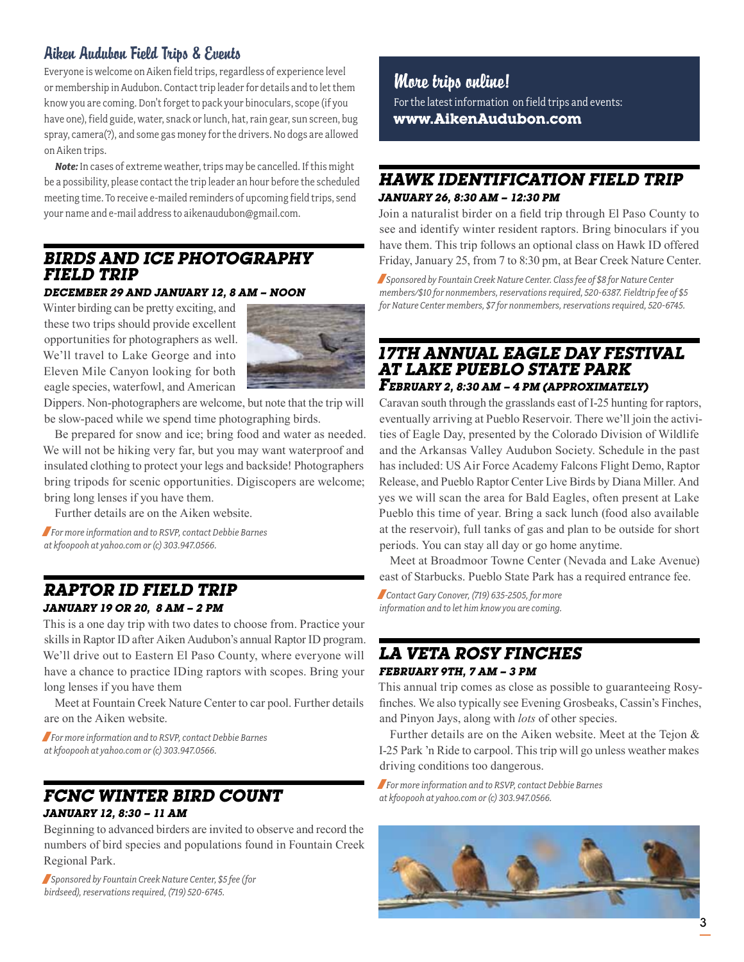## Aiken Audubon Field Trips & Events

Everyone is welcome on Aiken field trips, regardless of experience level or membership in Audubon. Contact trip leader for details and to let them know you are coming. Don't forget to pack your binoculars, scope (if you have one), field guide, water, snack or lunch, hat, rain gear, sun screen, bug spray, camera(?), and some gas money for the drivers. No dogs are allowed on Aiken trips.

*Note:* In cases of extreme weather, trips may be cancelled. If this might be a possibility, please contact the trip leader an hour before the scheduled meeting time. To receive e-mailed reminders of upcoming field trips, send your name and e-mail address to aikenaudubon@gmail.com.

## *Birds and Ice Photography Field Trip*

#### *December 29 and January 12, 8 am – Noon*

Winter birding can be pretty exciting, and these two trips should provide excellent opportunities for photographers as well. We'll travel to Lake George and into Eleven Mile Canyon looking for both eagle species, waterfowl, and American



Dippers. Non-photographers are welcome, but note that the trip will be slow-paced while we spend time photographing birds.

Be prepared for snow and ice; bring food and water as needed. We will not be hiking very far, but you may want waterproof and insulated clothing to protect your legs and backside! Photographers bring tripods for scenic opportunities. Digiscopers are welcome; bring long lenses if you have them.

Further details are on the Aiken website.

/*For more information and to RSVP, contact Debbie Barnes at kfoopooh at yahoo.com or (c) 303.947.0566.*

## *Raptor ID Field Trip January 19 or 20, 8 am – 2 pm*

This is a one day trip with two dates to choose from. Practice your skills in Raptor ID after Aiken Audubon's annual Raptor ID program. We'll drive out to Eastern El Paso County, where everyone will have a chance to practice IDing raptors with scopes. Bring your long lenses if you have them

Meet at Fountain Creek Nature Center to car pool. Further details are on the Aiken website.

/*For more information and to RSVP, contact Debbie Barnes at kfoopooh at yahoo.com or (c) 303.947.0566.*

#### *FCNC Winter Bird Count January 12, 8:30 – 11 am*

Beginning to advanced birders are invited to observe and record the numbers of bird species and populations found in Fountain Creek Regional Park.

/*Sponsored by Fountain Creek Nature Center, \$5 fee (for birdseed), reservations required, (719) 520-6745.*

More trips online! For the latest information on field trips and events: **www.AikenAudubon.com**

#### *Hawk Identification Field Trip January 26, 8:30 am – 12:30 pm*

Join a naturalist birder on a field trip through El Paso County to see and identify winter resident raptors. Bring binoculars if you have them. This trip follows an optional class on Hawk ID offered Friday, January 25, from 7 to 8:30 pm, at Bear Creek Nature Center.

/*Sponsored by Fountain Creek Nature Center. Class fee of \$8 for Nature Center members/\$10 for nonmembers, reservations required, 520-6387. Fieldtrip fee of \$5 for Nature Center members, \$7 for nonmembers, reservations required, 520-6745.*

## *17th Annual Eagle Day Festival at Lake Pueblo State Park February 2, 8:30 am – 4 pm (approximately)*

Caravan south through the grasslands east of I-25 hunting for raptors, eventually arriving at Pueblo Reservoir. There we'll join the activities of Eagle Day, presented by the Colorado Division of Wildlife and the Arkansas Valley Audubon Society. Schedule in the past has included: US Air Force Academy Falcons Flight Demo, Raptor Release, and Pueblo Raptor Center Live Birds by Diana Miller. And yes we will scan the area for Bald Eagles, often present at Lake Pueblo this time of year. Bring a sack lunch (food also available at the reservoir), full tanks of gas and plan to be outside for short periods. You can stay all day or go home anytime.

Meet at Broadmoor Towne Center (Nevada and Lake Avenue) east of Starbucks. Pueblo State Park has a required entrance fee.

/*Contact Gary Conover, (719) 635-2505, for more information and to let him know you are coming.*

### *La Veta Rosy Finches February 9th, 7 am – 3 pm*

This annual trip comes as close as possible to guaranteeing Rosyfinches. We also typically see Evening Grosbeaks, Cassin's Finches, and Pinyon Jays, along with *lots* of other species.

Further details are on the Aiken website. Meet at the Tejon & I-25 Park 'n Ride to carpool. This trip will go unless weather makes driving conditions too dangerous.

/*For more information and to RSVP, contact Debbie Barnes at kfoopooh at yahoo.com or (c) 303.947.0566.*

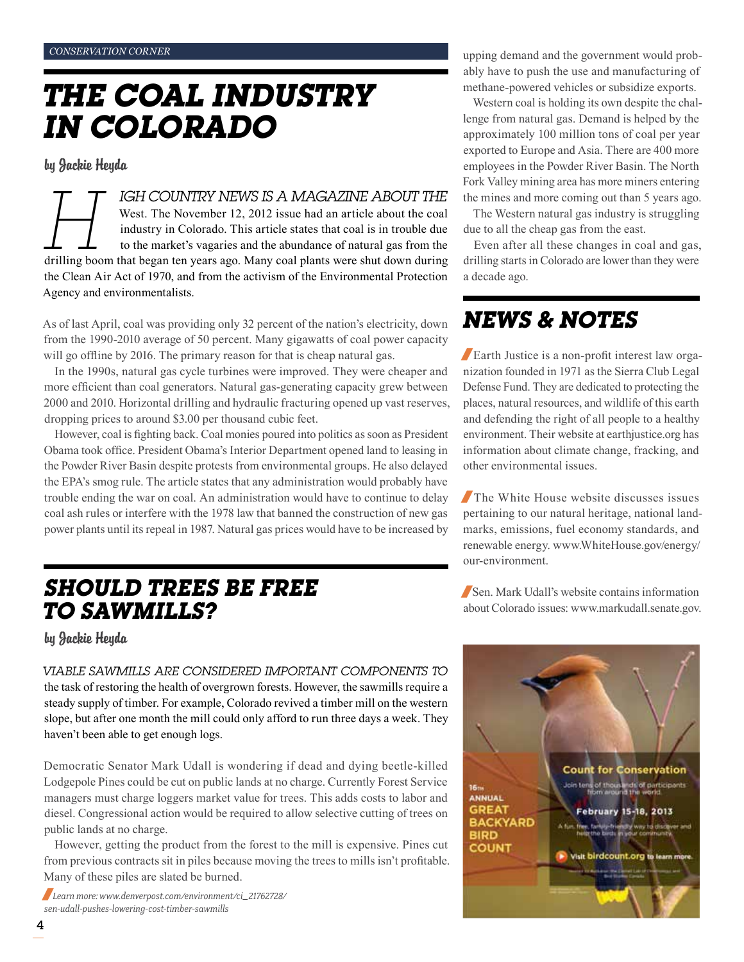# *The Coal Industry in Colorado*

by Jackie Heyda

*Hell COUNTRY NEWS IS A MAGAZINE ABOUT THE*<br>West. The November 12, 2012 issue had an article about the coal<br>industry in Colorado. This article states that coal is in trouble due<br>to the market's vagaries and the abundance o West. The November 12, 2012 issue had an article about the coal industry in Colorado. This article states that coal is in trouble due to the market's vagaries and the abundance of natural gas from the drilling boom that began ten years ago. Many coal plants were shut down during the Clean Air Act of 1970, and from the activism of the Environmental Protection Agency and environmentalists.

As of last April, coal was providing only 32 percent of the nation's electricity, down from the 1990-2010 average of 50 percent. Many gigawatts of coal power capacity will go offline by 2016. The primary reason for that is cheap natural gas.

In the 1990s, natural gas cycle turbines were improved. They were cheaper and more efficient than coal generators. Natural gas-generating capacity grew between 2000 and 2010. Horizontal drilling and hydraulic fracturing opened up vast reserves, dropping prices to around \$3.00 per thousand cubic feet.

However, coal is fighting back. Coal monies poured into politics as soon as President Obama took office. President Obama's Interior Department opened land to leasing in the Powder River Basin despite protests from environmental groups. He also delayed the EPA's smog rule. The article states that any administration would probably have trouble ending the war on coal. An administration would have to continue to delay coal ash rules or interfere with the 1978 law that banned the construction of new gas power plants until its repeal in 1987. Natural gas prices would have to be increased by

## *SHOULD TREES BE FREE TO SAWMILLS?*

by Jackie Heyda

*Viable sawmills are considered important components to*  the task of restoring the health of overgrown forests. However, the sawmills require a steady supply of timber. For example, Colorado revived a timber mill on the western slope, but after one month the mill could only afford to run three days a week. They haven't been able to get enough logs.

Democratic Senator Mark Udall is wondering if dead and dying beetle-killed Lodgepole Pines could be cut on public lands at no charge. Currently Forest Service managers must charge loggers market value for trees. This adds costs to labor and diesel. Congressional action would be required to allow selective cutting of trees on public lands at no charge.

However, getting the product from the forest to the mill is expensive. Pines cut from previous contracts sit in piles because moving the trees to mills isn't profitable. Many of these piles are slated be burned.

/*Learn more: www.denverpost.com/environment/ci\_21762728/ sen-udall-pushes-lowering-cost-timber-sawmills*

upping demand and the government would probably have to push the use and manufacturing of methane-powered vehicles or subsidize exports.

Western coal is holding its own despite the challenge from natural gas. Demand is helped by the approximately 100 million tons of coal per year exported to Europe and Asia. There are 400 more employees in the Powder River Basin. The North Fork Valley mining area has more miners entering the mines and more coming out than 5 years ago.

The Western natural gas industry is struggling due to all the cheap gas from the east.

Even after all these changes in coal and gas, drilling starts in Colorado are lower than they were a decade ago.

# *news & Notes*

/Earth Justice is a non-profit interest law organization founded in 1971 as the Sierra Club Legal Defense Fund. They are dedicated to protecting the places, natural resources, and wildlife of this earth and defending the right of all people to a healthy environment. Their website at earthjustice.org has information about climate change, fracking, and other environmental issues.

/The White House website discusses issues pertaining to our natural heritage, national landmarks, emissions, fuel economy standards, and renewable energy. www.WhiteHouse.gov/energy/ our-environment.

/Sen. Mark Udall's website contains information about Colorado issues: www.markudall.senate.gov.

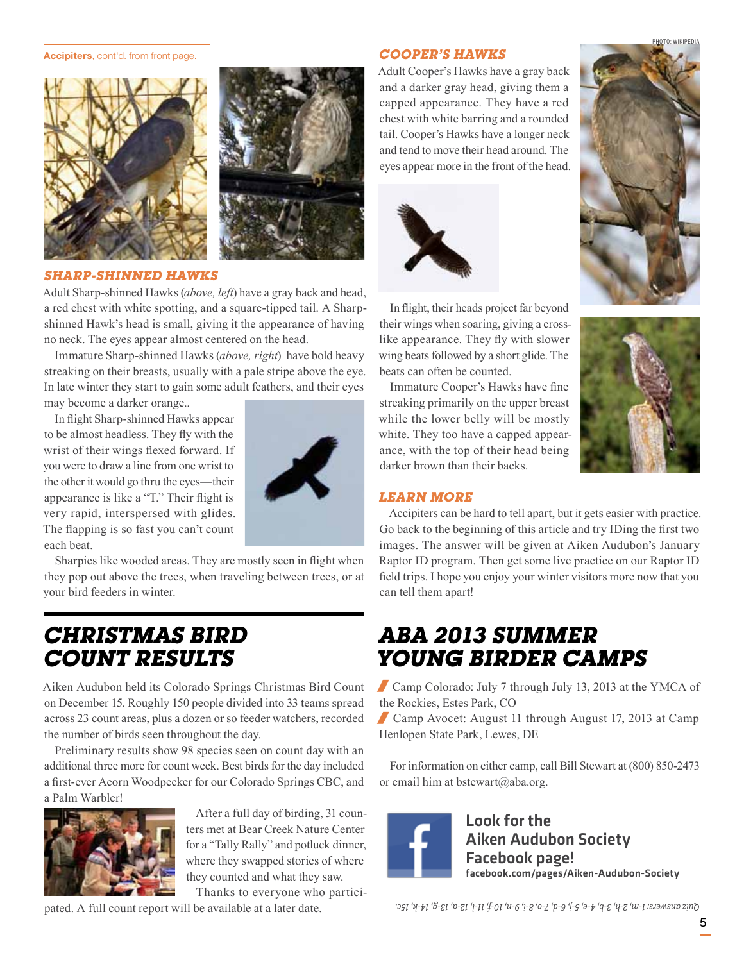#### Accipiters, cont'd. from front page.





#### *Sharp-shinned hawks*

Adult Sharp-shinned Hawks (*above, left*) have a gray back and head, a red chest with white spotting, and a square-tipped tail. A Sharpshinned Hawk's head is small, giving it the appearance of having no neck. The eyes appear almost centered on the head.

Immature Sharp-shinned Hawks (*above, right*) have bold heavy streaking on their breasts, usually with a pale stripe above the eye. In late winter they start to gain some adult feathers, and their eyes

may become a darker orange..

In flight Sharp-shinned Hawks appear to be almost headless. They fly with the wrist of their wings flexed forward. If you were to draw a line from one wrist to the other it would go thru the eyes—their appearance is like a "T." Their flight is very rapid, interspersed with glides. The flapping is so fast you can't count each beat.



Sharpies like wooded areas. They are mostly seen in flight when they pop out above the trees, when traveling between trees, or at your bird feeders in winter.

## *Christmas Bird Count Results*

Aiken Audubon held its Colorado Springs Christmas Bird Count on December 15. Roughly 150 people divided into 33 teams spread across 23 count areas, plus a dozen or so feeder watchers, recorded the number of birds seen throughout the day.

Preliminary results show 98 species seen on count day with an additional three more for count week. Best birds for the day included a first-ever Acorn Woodpecker for our Colorado Springs CBC, and a Palm Warbler!



After a full day of birding, 31 counters met at Bear Creek Nature Center for a "Tally Rally" and potluck dinner, where they swapped stories of where they counted and what they saw.

Thanks to everyone who partici-

pated. A full count report will be available at a later date.

#### *Cooper's Hawks*

Adult Cooper's Hawks have a gray back and a darker gray head, giving them a capped appearance. They have a red chest with white barring and a rounded tail. Cooper's Hawks have a longer neck and tend to move their head around. The eyes appear more in the front of the head.





In flight, their heads project far beyond their wings when soaring, giving a crosslike appearance. They fly with slower wing beats followed by a short glide. The beats can often be counted.

Immature Cooper's Hawks have fine streaking primarily on the upper breast while the lower belly will be mostly white. They too have a capped appearance, with the top of their head being darker brown than their backs.



#### *Learn More*

Accipiters can be hard to tell apart, but it gets easier with practice. Go back to the beginning of this article and try IDing the first two images. The answer will be given at Aiken Audubon's January Raptor ID program. Then get some live practice on our Raptor ID field trips. I hope you enjoy your winter visitors more now that you can tell them apart!

## *ABA 2013 Summer Young Birder Camps*

/ Camp Colorado: July 7 through July 13, 2013 at the YMCA of the Rockies, Estes Park, CO

/ Camp Avocet: August 11 through August 17, 2013 at Camp Henlopen State Park, Lewes, DE

For information on either camp, call Bill Stewart at (800) 850-2473 or email him at bstewart@aba.org.



Look for the Aiken Audubon Society Facebook page! facebook.com/pages/Aiken-Audubon-Society

*Quiz answers: 1-m, 2-h, 3-b, 4-e, 5-j, 6-d, 7-o, 8-i, 9-n, 10-f, 11-l, 12-a, 13-g, 14-k, 15c.*